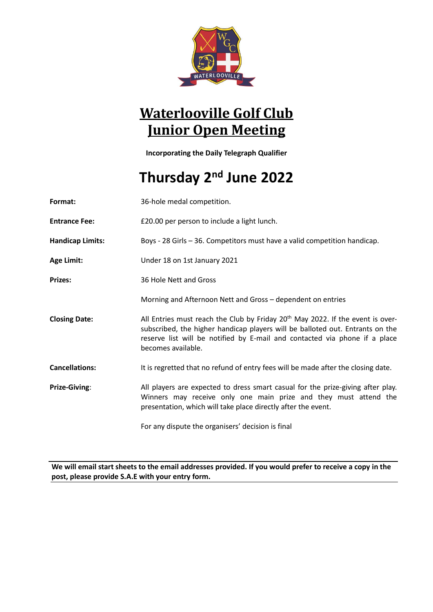

## **Waterlooville Golf Club Junior Open Meeting**

**Incorporating the Daily Telegraph Qualifier**

# **Thursday 2 nd June 2022**

| Format:                 | 36-hole medal competition.                                                                                                                                                                                                                                                      |
|-------------------------|---------------------------------------------------------------------------------------------------------------------------------------------------------------------------------------------------------------------------------------------------------------------------------|
| <b>Entrance Fee:</b>    | £20.00 per person to include a light lunch.                                                                                                                                                                                                                                     |
| <b>Handicap Limits:</b> | Boys - 28 Girls - 36. Competitors must have a valid competition handicap.                                                                                                                                                                                                       |
| Age Limit:              | Under 18 on 1st January 2021                                                                                                                                                                                                                                                    |
| Prizes:                 | 36 Hole Nett and Gross                                                                                                                                                                                                                                                          |
|                         | Morning and Afternoon Nett and Gross - dependent on entries                                                                                                                                                                                                                     |
| <b>Closing Date:</b>    | All Entries must reach the Club by Friday 20 <sup>th</sup> May 2022. If the event is over-<br>subscribed, the higher handicap players will be balloted out. Entrants on the<br>reserve list will be notified by E-mail and contacted via phone if a place<br>becomes available. |
| <b>Cancellations:</b>   | It is regretted that no refund of entry fees will be made after the closing date.                                                                                                                                                                                               |
| Prize-Giving:           | All players are expected to dress smart casual for the prize-giving after play.<br>Winners may receive only one main prize and they must attend the<br>presentation, which will take place directly after the event.                                                            |
|                         | For any dispute the organisers' decision is final                                                                                                                                                                                                                               |

**We will email start sheets to the email addresses provided. If you would prefer to receive a copy in the post, please provide S.A.E with your entry form.**